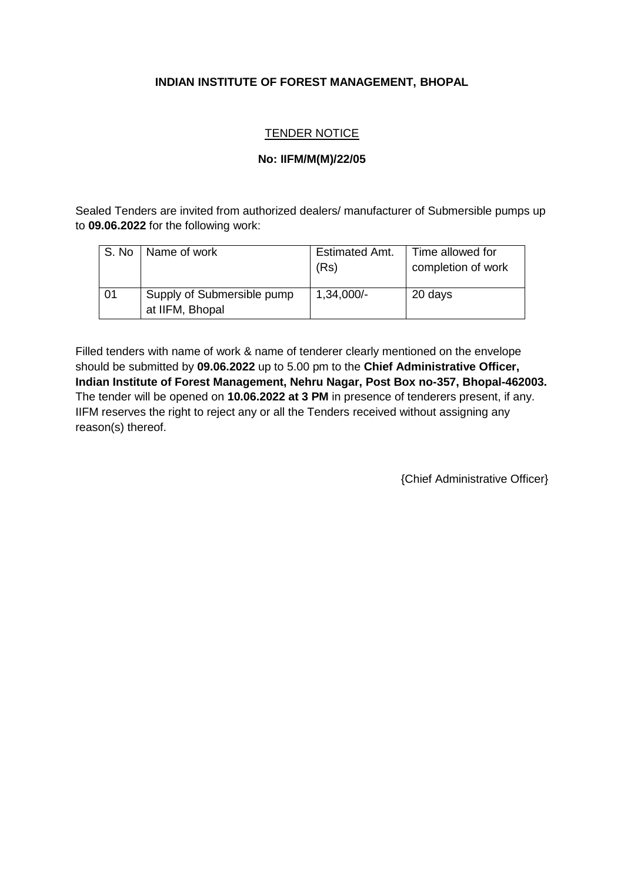# **INDIAN INSTITUTE OF FOREST MANAGEMENT, BHOPAL**

# TENDER NOTICE

## **No: IIFM/M(M)/22/05**

Sealed Tenders are invited from authorized dealers/ manufacturer of Submersible pumps up to **09.06.2022** for the following work:

|    | S. No   Name of work                          | <b>Estimated Amt.</b><br>(Rs) | Time allowed for<br>completion of work |
|----|-----------------------------------------------|-------------------------------|----------------------------------------|
| 01 | Supply of Submersible pump<br>at IIFM, Bhopal | $1,34,000/-$                  | 20 days                                |

Filled tenders with name of work & name of tenderer clearly mentioned on the envelope should be submitted by **09.06.2022** up to 5.00 pm to the **Chief Administrative Officer, Indian Institute of Forest Management, Nehru Nagar, Post Box no-357, Bhopal-462003.** The tender will be opened on **10.06.2022 at 3 PM** in presence of tenderers present, if any. IIFM reserves the right to reject any or all the Tenders received without assigning any reason(s) thereof.

{Chief Administrative Officer}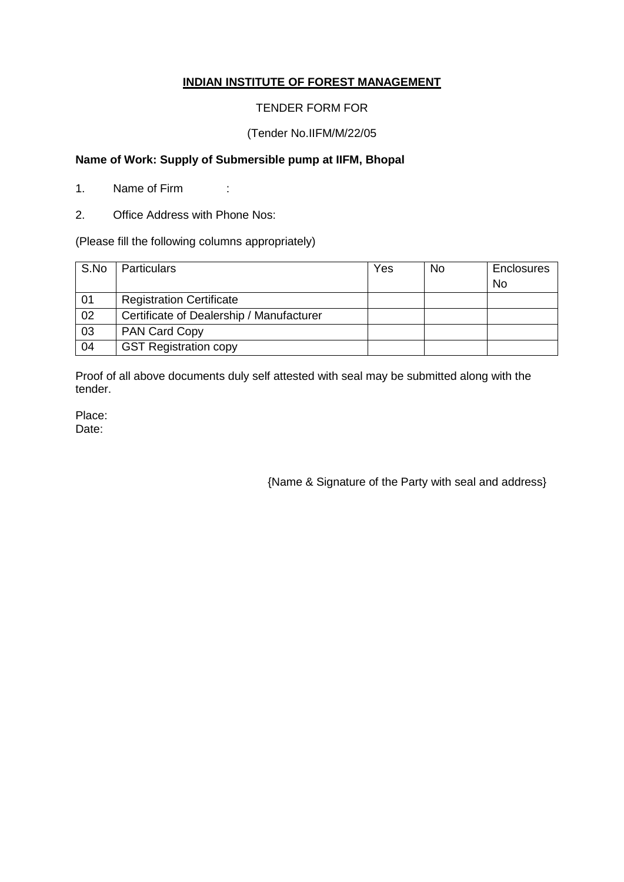# **INDIAN INSTITUTE OF FOREST MANAGEMENT**

## TENDER FORM FOR

## (Tender No.IIFM/M/22/05

## **Name of Work: Supply of Submersible pump at IIFM, Bhopal**

1. Name of Firm :

2. Office Address with Phone Nos:

(Please fill the following columns appropriately)

| S.No | <b>Particulars</b>                       | Yes | No | <b>Enclosures</b><br>No |
|------|------------------------------------------|-----|----|-------------------------|
| 01   | <b>Registration Certificate</b>          |     |    |                         |
| 02   | Certificate of Dealership / Manufacturer |     |    |                         |
| 03   | <b>PAN Card Copy</b>                     |     |    |                         |
| 04   | <b>GST Registration copy</b>             |     |    |                         |

Proof of all above documents duly self attested with seal may be submitted along with the tender.

Place: Date:

{Name & Signature of the Party with seal and address}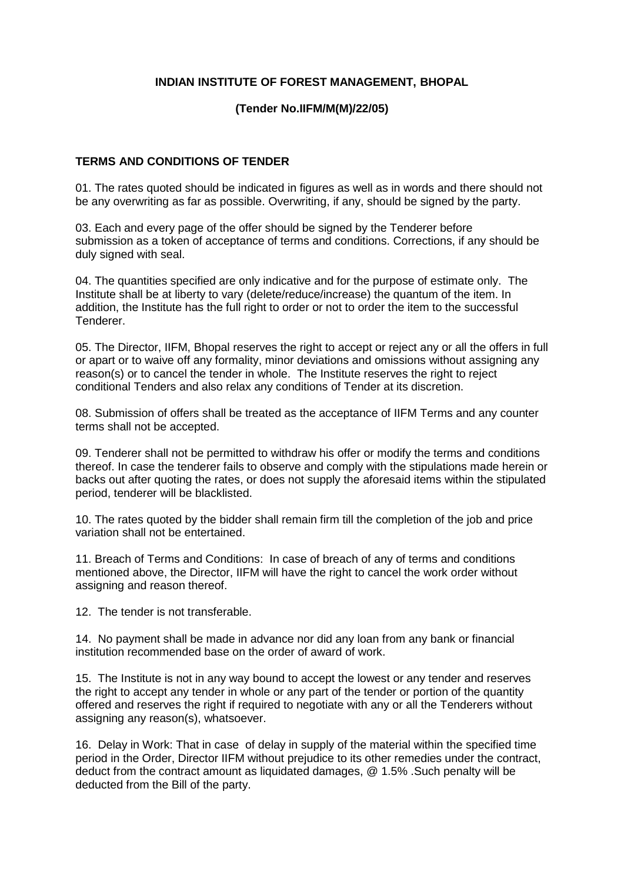#### **INDIAN INSTITUTE OF FOREST MANAGEMENT, BHOPAL**

#### **(Tender No.IIFM/M(M)/22/05)**

#### **TERMS AND CONDITIONS OF TENDER**

01. The rates quoted should be indicated in figures as well as in words and there should not be any overwriting as far as possible. Overwriting, if any, should be signed by the party.

03. Each and every page of the offer should be signed by the Tenderer before submission as a token of acceptance of terms and conditions. Corrections, if any should be duly signed with seal.

04. The quantities specified are only indicative and for the purpose of estimate only. The Institute shall be at liberty to vary (delete/reduce/increase) the quantum of the item. In addition, the Institute has the full right to order or not to order the item to the successful Tenderer.

05. The Director, IIFM, Bhopal reserves the right to accept or reject any or all the offers in full or apart or to waive off any formality, minor deviations and omissions without assigning any reason(s) or to cancel the tender in whole. The Institute reserves the right to reject conditional Tenders and also relax any conditions of Tender at its discretion.

08. Submission of offers shall be treated as the acceptance of IIFM Terms and any counter terms shall not be accepted.

09. Tenderer shall not be permitted to withdraw his offer or modify the terms and conditions thereof. In case the tenderer fails to observe and comply with the stipulations made herein or backs out after quoting the rates, or does not supply the aforesaid items within the stipulated period, tenderer will be blacklisted.

10. The rates quoted by the bidder shall remain firm till the completion of the job and price variation shall not be entertained.

11. Breach of Terms and Conditions: In case of breach of any of terms and conditions mentioned above, the Director, IIFM will have the right to cancel the work order without assigning and reason thereof.

12. The tender is not transferable.

14. No payment shall be made in advance nor did any loan from any bank or financial institution recommended base on the order of award of work.

15. The Institute is not in any way bound to accept the lowest or any tender and reserves the right to accept any tender in whole or any part of the tender or portion of the quantity offered and reserves the right if required to negotiate with any or all the Tenderers without assigning any reason(s), whatsoever.

16. Delay in Work: That in case of delay in supply of the material within the specified time period in the Order, Director IIFM without prejudice to its other remedies under the contract, deduct from the contract amount as liquidated damages, @ 1.5% .Such penalty will be deducted from the Bill of the party.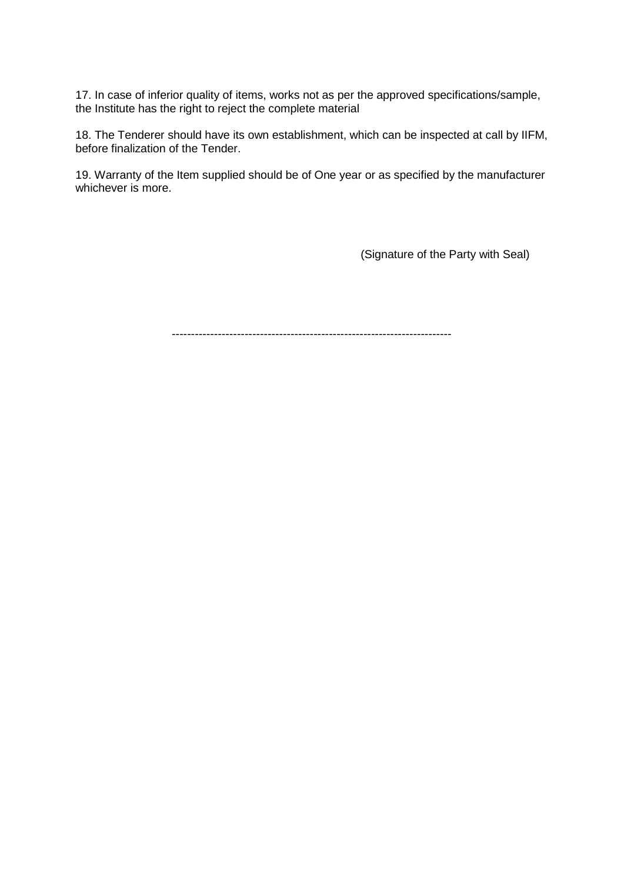17. In case of inferior quality of items, works not as per the approved specifications/sample, the Institute has the right to reject the complete material

18. The Tenderer should have its own establishment, which can be inspected at call by IIFM, before finalization of the Tender.

19. Warranty of the Item supplied should be of One year or as specified by the manufacturer whichever is more.

(Signature of the Party with Seal)

-------------------------------------------------------------------------